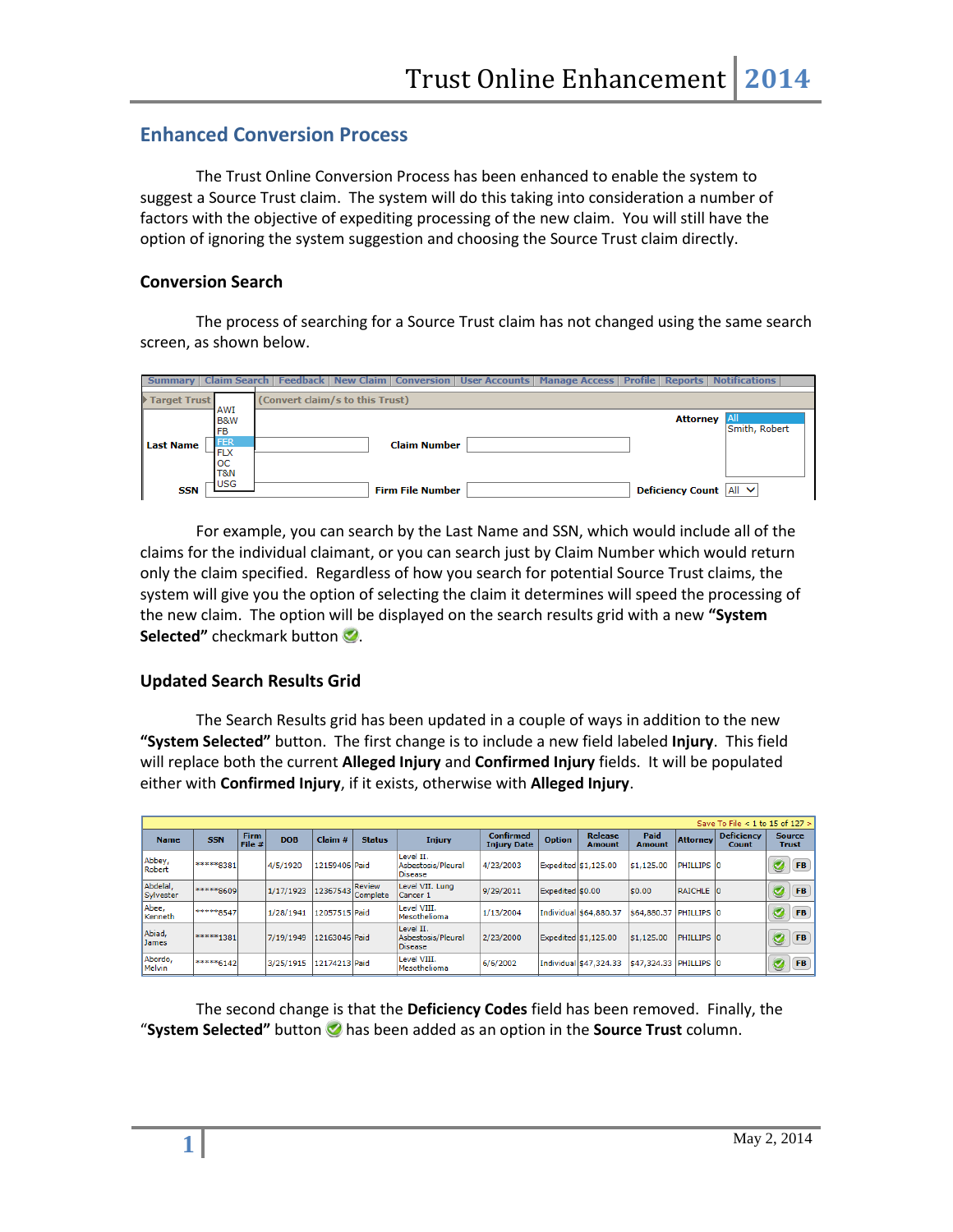## **Enhanced Conversion Process**

The Trust Online Conversion Process has been enhanced to enable the system to suggest a Source Trust claim. The system will do this taking into consideration a number of factors with the objective of expediting processing of the new claim. You will still have the option of ignoring the system suggestion and choosing the Source Trust claim directly.

## **Conversion Search**

The process of searching for a Source Trust claim has not changed using the same search screen, as shown below.

| <b>Summary</b> |              |                                    |                                 | Claim Search   Feedback   New Claim   Conversion   User Accounts   Manage Access   Profile   Reports   Notifications |  |                               |                             |
|----------------|--------------|------------------------------------|---------------------------------|----------------------------------------------------------------------------------------------------------------------|--|-------------------------------|-----------------------------|
|                | Target Trust |                                    | (Convert claim/s to this Trust) |                                                                                                                      |  |                               |                             |
|                |              | AWI<br><b>B&amp;W</b><br><b>FB</b> |                                 |                                                                                                                      |  | <b>Attorney</b>               | <b>All</b><br>Smith, Robert |
| l Last Name    |              | <b>FER</b><br><b>FLX</b>           |                                 | <b>Claim Number</b>                                                                                                  |  |                               |                             |
|                |              | ЮC<br>T&N                          |                                 |                                                                                                                      |  |                               |                             |
|                | SSN          | <b>USG</b>                         |                                 | <b>Firm File Number</b>                                                                                              |  | Deficiency Count   All $\vee$ |                             |

For example, you can search by the Last Name and SSN, which would include all of the claims for the individual claimant, or you can search just by Claim Number which would return only the claim specified. Regardless of how you search for potential Source Trust claims, the system will give you the option of selecting the claim it determines will speed the processing of the new claim. The option will be displayed on the search results grid with a new **"System Selected"** checkmark button **2**.

## **Updated Search Results Grid**

The Search Results grid has been updated in a couple of ways in addition to the new **"System Selected"** button. The first change is to include a new field labeled **Injury**. This field will replace both the current **Alleged Injury** and **Confirmed Injury** fields. It will be populated either with **Confirmed Injury**, if it exists, otherwise with **Alleged Injury**.

|                          |            |                       |            |               |                           |                                                   |                                        |                  |                          |                        |                 | Save To File < 1 to 15 of 127 > |                        |  |
|--------------------------|------------|-----------------------|------------|---------------|---------------------------|---------------------------------------------------|----------------------------------------|------------------|--------------------------|------------------------|-----------------|---------------------------------|------------------------|--|
| <b>Name</b>              | <b>SSN</b> | <b>Firm</b><br>File # | <b>DOB</b> | Claim#        | <b>Status</b>             | <b>Injury</b>                                     | <b>Confirmed</b><br><b>Injury Date</b> | <b>Option</b>    | <b>Release</b><br>Amount | Paid<br><b>Amount</b>  | <b>Attorney</b> | <b>Deficiency</b><br>Count      | <b>Source</b><br>Trust |  |
| Abbey,<br>Robert         | *****8381  |                       | 4/5/1920   | 12159406 Paid |                           | Level II.<br>Asbestosis/Pleural<br><b>Disease</b> | 4/23/2003                              |                  | Expedited \$1,125.00     | \$1,125.00             | PHILLIPS 10     |                                 | <b>FB</b><br>V         |  |
| Abdelal,<br>Sylvester    | *****8609  |                       | 1/17/1923  | 12367543      | <b>Review</b><br>Complete | Level VII. Lung<br>Cancer 1                       | 9/29/2011                              | Expedited \$0.00 |                          | \$0.00                 | RAICHLE 10      |                                 | <b>FB</b><br>C         |  |
| Abee,<br>Kenneth         | *****8547  |                       | 1/28/1941  | 12057515 Paid |                           | Level VIII.<br>Mesothelioma                       | 1/13/2004                              |                  | Individual \$64,880.37   | \$64,880.37 PHILLIPS 0 |                 |                                 | <b>FB</b><br>ℭ         |  |
| Abiad,<br><b>James</b>   | *****1381  |                       | 7/19/1949  | 12163046 Paid |                           | Level II.<br>Asbestosis/Pleural<br><b>Disease</b> | 2/23/2000                              |                  | Expedited \$1,125.00     | \$1,125.00             | PHILLIPS 0      |                                 | <b>FB</b><br>ℭ         |  |
| Abordo,<br><b>Melvin</b> | *****6142  |                       | 3/25/1915  | 12174213 Paid |                           | Level VIII.<br>Mesothelioma                       | 6/6/2002                               |                  | Individual \$47,324.33   | \$47,324.33 PHILLIPS 0 |                 |                                 | <b>FB</b><br>ℭ         |  |

The second change is that the **Deficiency Codes** field has been removed. Finally, the **"System Selected"** button  $\bigcirc$  has been added as an option in the **Source Trust** column.